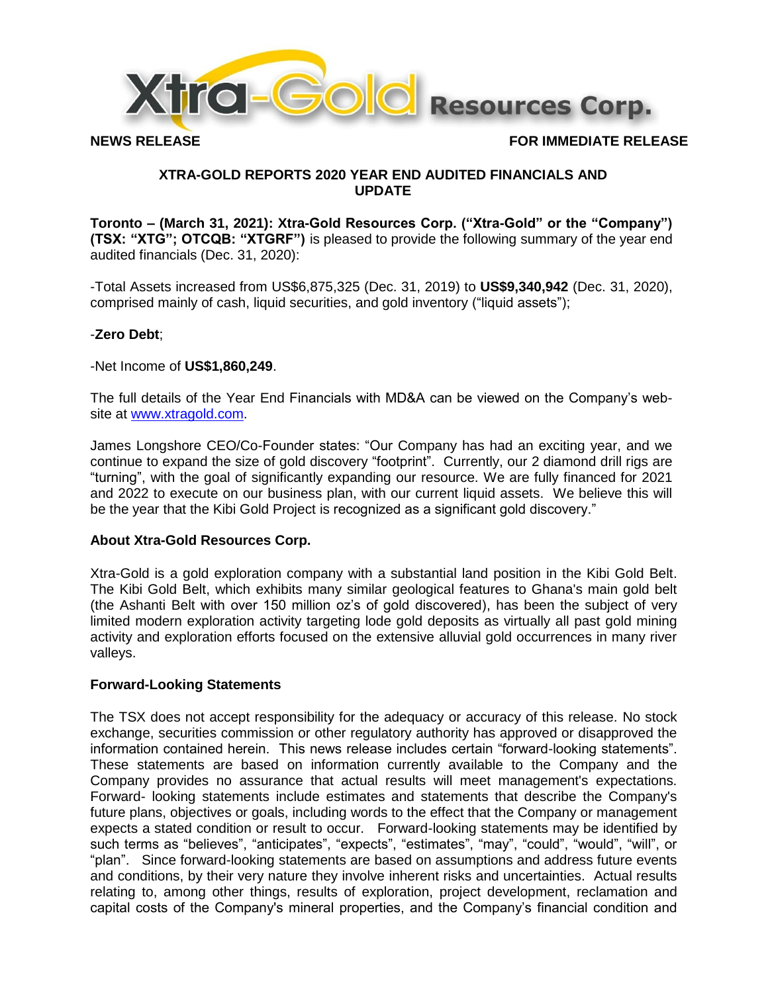

**NEWS RELEASE FOR IMMEDIATE RELEASE**

# **XTRA-GOLD REPORTS 2020 YEAR END AUDITED FINANCIALS AND UPDATE**

**Toronto – (March 31, 2021): Xtra-Gold Resources Corp. ("Xtra-Gold" or the "Company") (TSX: "XTG"; OTCQB: "XTGRF")** is pleased to provide the following summary of the year end audited financials (Dec. 31, 2020):

-Total Assets increased from US\$6,875,325 (Dec. 31, 2019) to **US\$9,340,942** (Dec. 31, 2020), comprised mainly of cash, liquid securities, and gold inventory ("liquid assets");

# -**Zero Debt**;

-Net Income of **US\$1,860,249**.

The full details of the Year End Financials with MD&A can be viewed on the Company's website at [www.xtragold.com.](http://www.xtragold.com/)

James Longshore CEO/Co-Founder states: "Our Company has had an exciting year, and we continue to expand the size of gold discovery "footprint". Currently, our 2 diamond drill rigs are "turning", with the goal of significantly expanding our resource. We are fully financed for 2021 and 2022 to execute on our business plan, with our current liquid assets. We believe this will be the year that the Kibi Gold Project is recognized as a significant gold discovery."

# **About Xtra-Gold Resources Corp.**

Xtra-Gold is a gold exploration company with a substantial land position in the Kibi Gold Belt. The Kibi Gold Belt, which exhibits many similar geological features to Ghana's main gold belt (the Ashanti Belt with over 150 million oz's of gold discovered), has been the subject of very limited modern exploration activity targeting lode gold deposits as virtually all past gold mining activity and exploration efforts focused on the extensive alluvial gold occurrences in many river valleys.

### **Forward-Looking Statements**

The TSX does not accept responsibility for the adequacy or accuracy of this release. No stock exchange, securities commission or other regulatory authority has approved or disapproved the information contained herein. This news release includes certain "forward-looking statements". These statements are based on information currently available to the Company and the Company provides no assurance that actual results will meet management's expectations. Forward- looking statements include estimates and statements that describe the Company's future plans, objectives or goals, including words to the effect that the Company or management expects a stated condition or result to occur. Forward-looking statements may be identified by such terms as "believes", "anticipates", "expects", "estimates", "may", "could", "would", "will", or "plan". Since forward-looking statements are based on assumptions and address future events and conditions, by their very nature they involve inherent risks and uncertainties. Actual results relating to, among other things, results of exploration, project development, reclamation and capital costs of the Company's mineral properties, and the Company's financial condition and